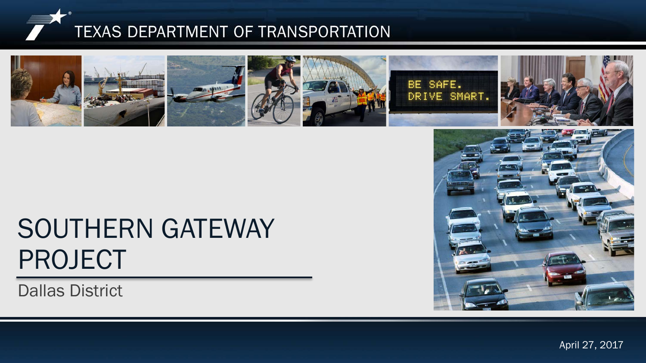



# SOUTHERN GATEWAY PROJECT

Dallas District



 $S_{\rm p}$   $\sim$   $S_{\rm p}$   $\sim$   $S_{\rm p}$ April 27, 2017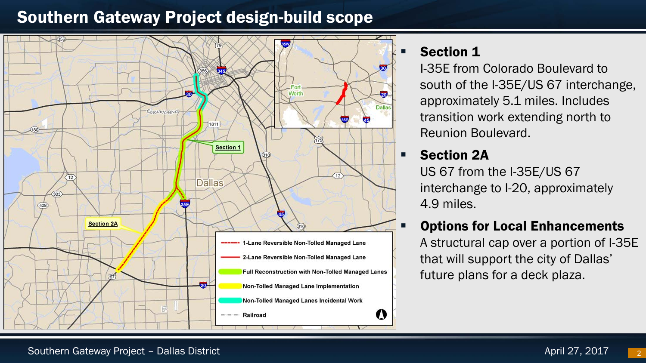### Southern Gateway Project design-build scope



#### Section 1

I-35E from Colorado Boulevard to south of the I-35E/US 67 interchange, approximately 5.1 miles. Includes transition work extending north to Reunion Boulevard.

#### **Section 2A**

US 67 from the I-35E/US 67 interchange to I-20, approximately 4.9 miles.

#### Options for Local Enhancements

A structural cap over a portion of I-35E that will support the city of Dallas' future plans for a deck plaza.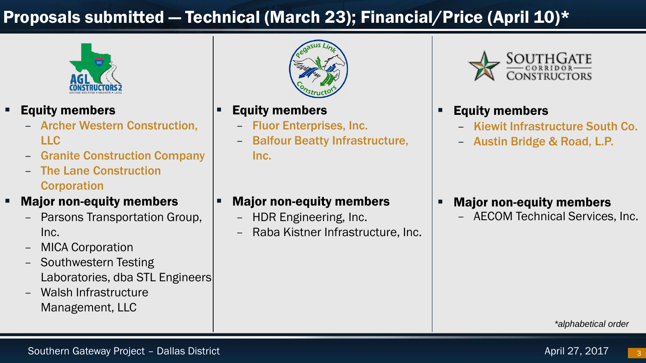## Proposals submitted — Technical (March 23); Financial/Price (April 10)\*



- **Equity members** 
	- Archer Western Construction, LLC
	- Granite Construction Company
	- The Lane Construction **Corporation**
- Major non-equity members
	- Parsons Transportation Group, Inc.
	- MICA Corporation
	- Southwestern Testing Laboratories, dba STL Engineers
	- Walsh Infrastructure Management, LLC



- Equity members
	- Fluor Enterprises, Inc.
	- Balfour Beatty Infrastructure, Inc.



#### Equity members

- Kiewit Infrastructure South Co.
- Austin Bridge & Road, L.P.

- Major non-equity members
	- AECOM Technical Services, Inc.

#### Major non-equity members

- HDR Engineering, Inc.
- Raba Kistner Infrastructure, Inc.

*\*alphabetical order*

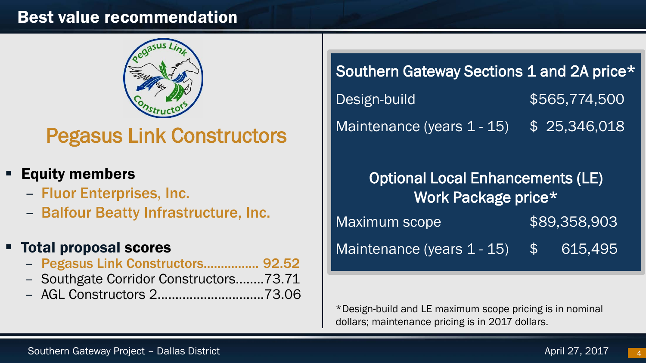#### Best value recommendation



# Pegasus Link Constructors

- Equity members
	- Fluor Enterprises, Inc.
	- Balfour Beatty Infrastructure, Inc.

#### Total proposal scores

- Pegasus Link Constructors................ 92.52
- Southgate Corridor Constructors.…….73.71
- AGL Constructors 2…….…………………..73.06

 $\overline{a}$ 

Southern Gateway Sections 1 and 2A price\* Design-build \$565,774,500 Maintenance (years 1 - 15) \$ 25,346,018

Optional Local Enhancements (LE) Work Package price\* Maximum scope  $$89,358,903$ Maintenance (years 1 - 15) \$ 615,495

\*Design-build and LE maximum scope pricing is in nominal dollars; maintenance pricing is in 2017 dollars.

4